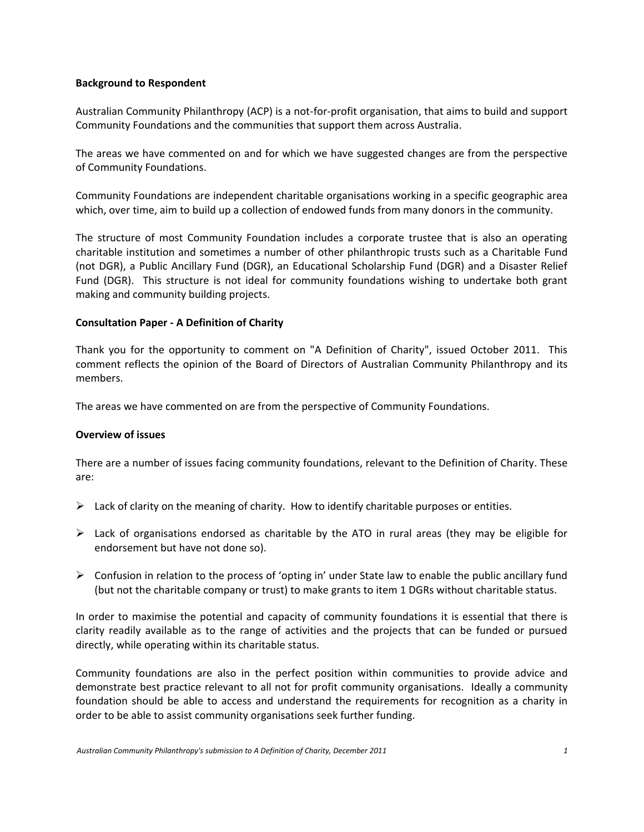#### **Background to Respondent**

Australian Community Philanthropy (ACP) is a not-for-profit organisation, that aims to build and support Community Foundations and the communities that support them across Australia.

The areas we have commented on and for which we have suggested changes are from the perspective of Community Foundations.

Community Foundations are independent charitable organisations working in a specific geographic area which, over time, aim to build up a collection of endowed funds from many donors in the community.

The structure of most Community Foundation includes a corporate trustee that is also an operating charitable institution and sometimes a number of other philanthropic trusts such as a Charitable Fund (not DGR), a Public Ancillary Fund (DGR), an Educational Scholarship Fund (DGR) and a Disaster Relief Fund (DGR). This structure is not ideal for community foundations wishing to undertake both grant making and community building projects.

#### **Consultation Paper - A Definition of Charity**

Thank you for the opportunity to comment on "A Definition of Charity", issued October 2011. This comment reflects the opinion of the Board of Directors of Australian Community Philanthropy and its members.

The areas we have commented on are from the perspective of Community Foundations.

#### **Overview of issues**

There are a number of issues facing community foundations, relevant to the Definition of Charity. These are:

- $\triangleright$  Lack of clarity on the meaning of charity. How to identify charitable purposes or entities.
- $\triangleright$  Lack of organisations endorsed as charitable by the ATO in rural areas (they may be eligible for endorsement but have not done so).
- $\triangleright$  Confusion in relation to the process of 'opting in' under State law to enable the public ancillary fund (but not the charitable company or trust) to make grants to item 1 DGRs without charitable status.

In order to maximise the potential and capacity of community foundations it is essential that there is clarity readily available as to the range of activities and the projects that can be funded or pursued directly, while operating within its charitable status.

Community foundations are also in the perfect position within communities to provide advice and demonstrate best practice relevant to all not for profit community organisations. Ideally a community foundation should be able to access and understand the requirements for recognition as a charity in order to be able to assist community organisations seek further funding.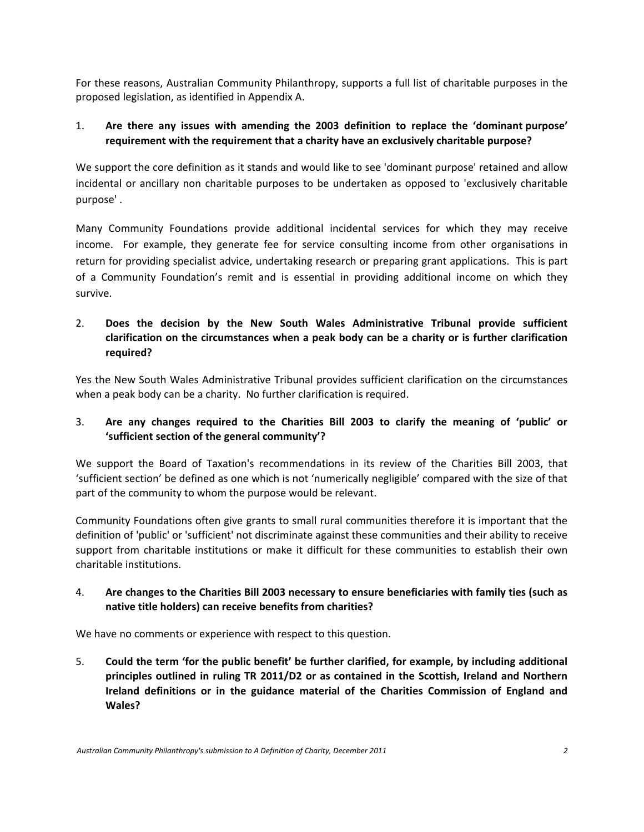For these reasons, Australian Community Philanthropy, supports a full list of charitable purposes in the proposed legislation, as identified in Appendix A.

## 1. **Are there any issues with amending the 2003 definition to replace the 'dominant purpose' requirement with the requirement that a charity have an exclusively charitable purpose?**

We support the core definition as it stands and would like to see 'dominant purpose' retained and allow incidental or ancillary non charitable purposes to be undertaken as opposed to 'exclusively charitable purpose' .

Many Community Foundations provide additional incidental services for which they may receive income. For example, they generate fee for service consulting income from other organisations in return for providing specialist advice, undertaking research or preparing grant applications. This is part of a Community Foundation's remit and is essential in providing additional income on which they survive.

# 2. **Does the decision by the New South Wales Administrative Tribunal provide sufficient clarification on the circumstances when a peak body can be a charity or is further clarification required?**

Yes the New South Wales Administrative Tribunal provides sufficient clarification on the circumstances when a peak body can be a charity. No further clarification is required.

# 3. **Are any changes required to the Charities Bill 2003 to clarify the meaning of 'public' or 'sufficient section of the general community'?**

We support the Board of Taxation's recommendations in its review of the Charities Bill 2003, that 'sufficient section' be defined as one which is not 'numerically negligible' compared with the size of that part of the community to whom the purpose would be relevant.

Community Foundations often give grants to small rural communities therefore it is important that the definition of 'public' or 'sufficient' not discriminate against these communities and their ability to receive support from charitable institutions or make it difficult for these communities to establish their own charitable institutions.

# 4. **Are changes to the Charities Bill 2003 necessary to ensure beneficiaries with family ties (such as native title holders) can receive benefits from charities?**

We have no comments or experience with respect to this question.

5. **Could the term 'for the public benefit' be further clarified, for example, by including additional principles outlined in ruling TR 2011/D2 or as contained in the Scottish, Ireland and Northern Ireland definitions or in the guidance material of the Charities Commission of England and Wales?**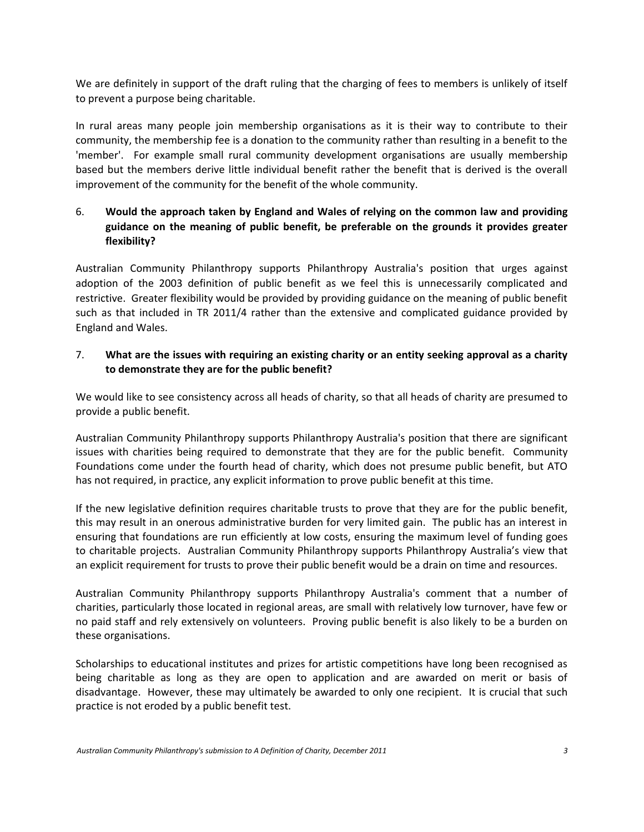We are definitely in support of the draft ruling that the charging of fees to members is unlikely of itself to prevent a purpose being charitable.

In rural areas many people join membership organisations as it is their way to contribute to their community, the membership fee is a donation to the community rather than resulting in a benefit to the 'member'. For example small rural community development organisations are usually membership based but the members derive little individual benefit rather the benefit that is derived is the overall improvement of the community for the benefit of the whole community.

# 6. **Would the approach taken by England and Wales of relying on the common law and providing guidance on the meaning of public benefit, be preferable on the grounds it provides greater flexibility?**

Australian Community Philanthropy supports Philanthropy Australia's position that urges against adoption of the 2003 definition of public benefit as we feel this is unnecessarily complicated and restrictive. Greater flexibility would be provided by providing guidance on the meaning of public benefit such as that included in TR 2011/4 rather than the extensive and complicated guidance provided by England and Wales.

# 7. **What are the issues with requiring an existing charity or an entity seeking approval as a charity to demonstrate they are for the public benefit?**

We would like to see consistency across all heads of charity, so that all heads of charity are presumed to provide a public benefit.

Australian Community Philanthropy supports Philanthropy Australia's position that there are significant issues with charities being required to demonstrate that they are for the public benefit. Community Foundations come under the fourth head of charity, which does not presume public benefit, but ATO has not required, in practice, any explicit information to prove public benefit at this time.

If the new legislative definition requires charitable trusts to prove that they are for the public benefit, this may result in an onerous administrative burden for very limited gain. The public has an interest in ensuring that foundations are run efficiently at low costs, ensuring the maximum level of funding goes to charitable projects. Australian Community Philanthropy supports Philanthropy Australia's view that an explicit requirement for trusts to prove their public benefit would be a drain on time and resources.

Australian Community Philanthropy supports Philanthropy Australia's comment that a number of charities, particularly those located in regional areas, are small with relatively low turnover, have few or no paid staff and rely extensively on volunteers. Proving public benefit is also likely to be a burden on these organisations.

Scholarships to educational institutes and prizes for artistic competitions have long been recognised as being charitable as long as they are open to application and are awarded on merit or basis of disadvantage. However, these may ultimately be awarded to only one recipient. It is crucial that such practice is not eroded by a public benefit test.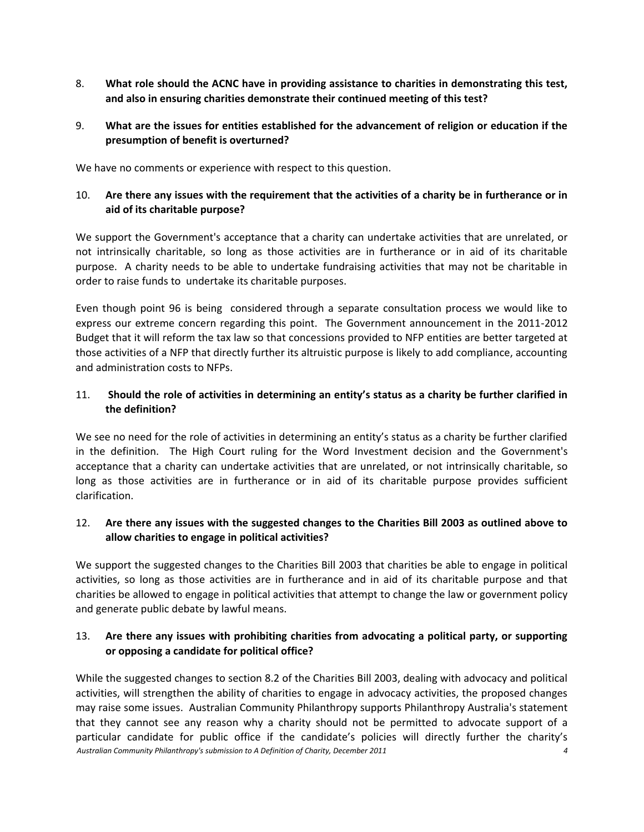- 8. **What role should the ACNC have in providing assistance to charities in demonstrating this test, and also in ensuring charities demonstrate their continued meeting of this test?**
- 9. **What are the issues for entities established for the advancement of religion or education if the presumption of benefit is overturned?**

We have no comments or experience with respect to this question.

## 10. **Are there any issues with the requirement that the activities of a charity be in furtherance or in aid of its charitable purpose?**

We support the Government's acceptance that a charity can undertake activities that are unrelated, or not intrinsically charitable, so long as those activities are in furtherance or in aid of its charitable purpose. A charity needs to be able to undertake fundraising activities that may not be charitable in order to raise funds to undertake its charitable purposes.

Even though point 96 is being considered through a separate consultation process we would like to express our extreme concern regarding this point. The Government announcement in the 2011-2012 Budget that it will reform the tax law so that concessions provided to NFP entities are better targeted at those activities of a NFP that directly further its altruistic purpose is likely to add compliance, accounting and administration costs to NFPs.

#### 11. **Should the role of activities in determining an entity's status as a charity be further clarified in the definition?**

We see no need for the role of activities in determining an entity's status as a charity be further clarified in the definition. The High Court ruling for the Word Investment decision and the Government's acceptance that a charity can undertake activities that are unrelated, or not intrinsically charitable, so long as those activities are in furtherance or in aid of its charitable purpose provides sufficient clarification.

## 12. **Are there any issues with the suggested changes to the Charities Bill 2003 as outlined above to allow charities to engage in political activities?**

We support the suggested changes to the Charities Bill 2003 that charities be able to engage in political activities, so long as those activities are in furtherance and in aid of its charitable purpose and that charities be allowed to engage in political activities that attempt to change the law or government policy and generate public debate by lawful means.

## 13. **Are there any issues with prohibiting charities from advocating a political party, or supporting or opposing a candidate for political office?**

*Australian Community Philanthropy's submission to A Definition of Charity, December 2011 4* While the suggested changes to section 8.2 of the Charities Bill 2003, dealing with advocacy and political activities, will strengthen the ability of charities to engage in advocacy activities, the proposed changes may raise some issues. Australian Community Philanthropy supports Philanthropy Australia's statement that they cannot see any reason why a charity should not be permitted to advocate support of a particular candidate for public office if the candidate's policies will directly further the charity's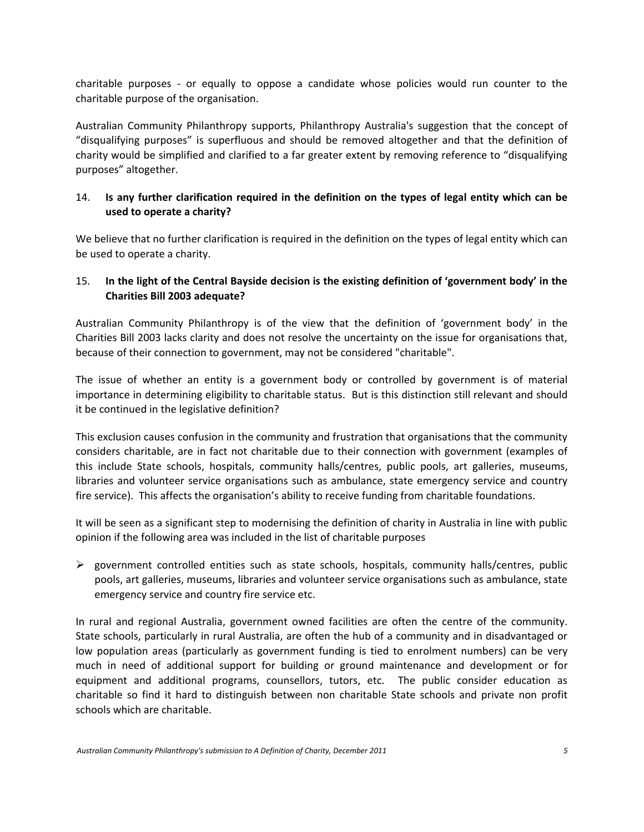charitable purposes - or equally to oppose a candidate whose policies would run counter to the charitable purpose of the organisation.

Australian Community Philanthropy supports, Philanthropy Australia's suggestion that the concept of "disqualifying purposes" is superfluous and should be removed altogether and that the definition of charity would be simplified and clarified to a far greater extent by removing reference to "disqualifying purposes" altogether.

# 14. **Is any further clarification required in the definition on the types of legal entity which can be used to operate a charity?**

We believe that no further clarification is required in the definition on the types of legal entity which can be used to operate a charity.

#### 15. **In the light of the Central Bayside decision is the existing definition of 'government body' in the Charities Bill 2003 adequate?**

Australian Community Philanthropy is of the view that the definition of 'government body' in the Charities Bill 2003 lacks clarity and does not resolve the uncertainty on the issue for organisations that, because of their connection to government, may not be considered "charitable".

The issue of whether an entity is a government body or controlled by government is of material importance in determining eligibility to charitable status. But is this distinction still relevant and should it be continued in the legislative definition?

This exclusion causes confusion in the community and frustration that organisations that the community considers charitable, are in fact not charitable due to their connection with government (examples of this include State schools, hospitals, community halls/centres, public pools, art galleries, museums, libraries and volunteer service organisations such as ambulance, state emergency service and country fire service). This affects the organisation's ability to receive funding from charitable foundations.

It will be seen as a significant step to modernising the definition of charity in Australia in line with public opinion if the following area was included in the list of charitable purposes

 $\triangleright$  government controlled entities such as state schools, hospitals, community halls/centres, public pools, art galleries, museums, libraries and volunteer service organisations such as ambulance, state emergency service and country fire service etc.

In rural and regional Australia, government owned facilities are often the centre of the community. State schools, particularly in rural Australia, are often the hub of a community and in disadvantaged or low population areas (particularly as government funding is tied to enrolment numbers) can be very much in need of additional support for building or ground maintenance and development or for equipment and additional programs, counsellors, tutors, etc. The public consider education as charitable so find it hard to distinguish between non charitable State schools and private non profit schools which are charitable.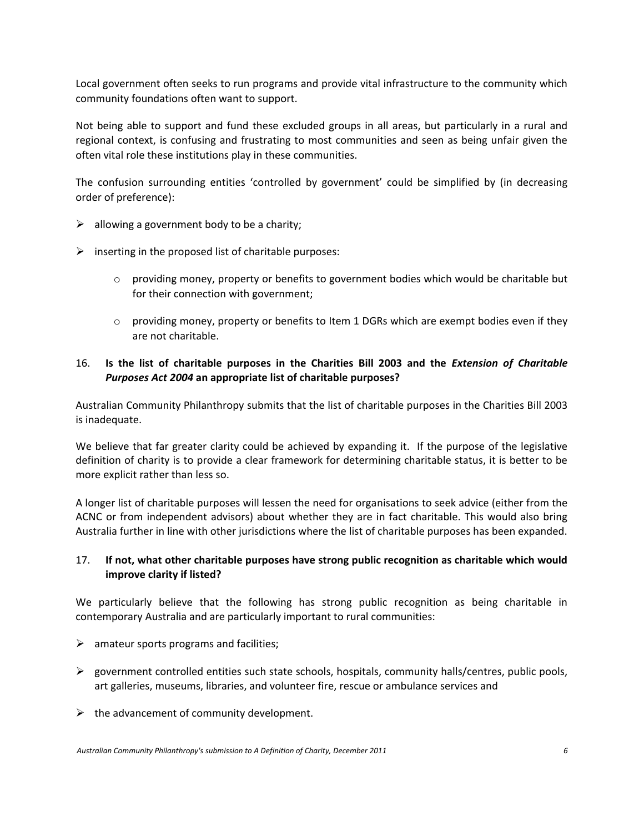Local government often seeks to run programs and provide vital infrastructure to the community which community foundations often want to support.

Not being able to support and fund these excluded groups in all areas, but particularly in a rural and regional context, is confusing and frustrating to most communities and seen as being unfair given the often vital role these institutions play in these communities.

The confusion surrounding entities 'controlled by government' could be simplified by (in decreasing order of preference):

- $\triangleright$  allowing a government body to be a charity;
- $\triangleright$  inserting in the proposed list of charitable purposes:
	- $\circ$  providing money, property or benefits to government bodies which would be charitable but for their connection with government;
	- $\circ$  providing money, property or benefits to Item 1 DGRs which are exempt bodies even if they are not charitable.

#### 16. **Is the list of charitable purposes in the Charities Bill 2003 and the** *Extension of Charitable Purposes Act 2004* **an appropriate list of charitable purposes?**

Australian Community Philanthropy submits that the list of charitable purposes in the Charities Bill 2003 is inadequate.

We believe that far greater clarity could be achieved by expanding it. If the purpose of the legislative definition of charity is to provide a clear framework for determining charitable status, it is better to be more explicit rather than less so.

A longer list of charitable purposes will lessen the need for organisations to seek advice (either from the ACNC or from independent advisors) about whether they are in fact charitable. This would also bring Australia further in line with other jurisdictions where the list of charitable purposes has been expanded.

#### 17. **If not, what other charitable purposes have strong public recognition as charitable which would improve clarity if listed?**

We particularly believe that the following has strong public recognition as being charitable in contemporary Australia and are particularly important to rural communities:

- $\triangleright$  amateur sports programs and facilities;
- $\triangleright$  government controlled entities such state schools, hospitals, community halls/centres, public pools, art galleries, museums, libraries, and volunteer fire, rescue or ambulance services and
- $\triangleright$  the advancement of community development.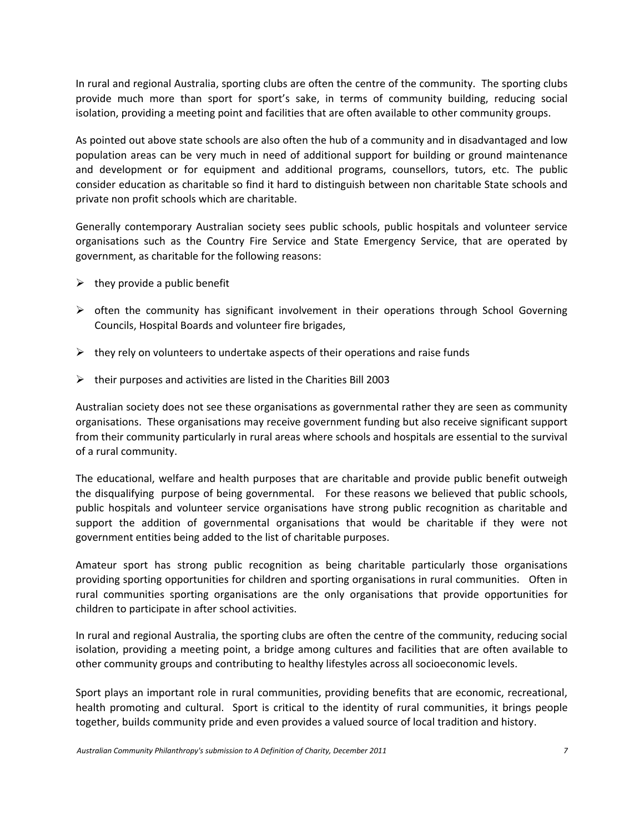In rural and regional Australia, sporting clubs are often the centre of the community. The sporting clubs provide much more than sport for sport's sake, in terms of community building, reducing social isolation, providing a meeting point and facilities that are often available to other community groups.

As pointed out above state schools are also often the hub of a community and in disadvantaged and low population areas can be very much in need of additional support for building or ground maintenance and development or for equipment and additional programs, counsellors, tutors, etc. The public consider education as charitable so find it hard to distinguish between non charitable State schools and private non profit schools which are charitable.

Generally contemporary Australian society sees public schools, public hospitals and volunteer service organisations such as the Country Fire Service and State Emergency Service, that are operated by government, as charitable for the following reasons:

- $\triangleright$  they provide a public benefit
- $\triangleright$  often the community has significant involvement in their operations through School Governing Councils, Hospital Boards and volunteer fire brigades,
- $\triangleright$  they rely on volunteers to undertake aspects of their operations and raise funds
- $\triangleright$  their purposes and activities are listed in the Charities Bill 2003

Australian society does not see these organisations as governmental rather they are seen as community organisations. These organisations may receive government funding but also receive significant support from their community particularly in rural areas where schools and hospitals are essential to the survival of a rural community.

The educational, welfare and health purposes that are charitable and provide public benefit outweigh the disqualifying purpose of being governmental. For these reasons we believed that public schools, public hospitals and volunteer service organisations have strong public recognition as charitable and support the addition of governmental organisations that would be charitable if they were not government entities being added to the list of charitable purposes.

Amateur sport has strong public recognition as being charitable particularly those organisations providing sporting opportunities for children and sporting organisations in rural communities. Often in rural communities sporting organisations are the only organisations that provide opportunities for children to participate in after school activities.

In rural and regional Australia, the sporting clubs are often the centre of the community, reducing social isolation, providing a meeting point, a bridge among cultures and facilities that are often available to other community groups and contributing to healthy lifestyles across all socioeconomic levels.

Sport plays an important role in rural communities, providing benefits that are economic, recreational, health promoting and cultural. Sport is critical to the identity of rural communities, it brings people together, builds community pride and even provides a valued source of local tradition and history.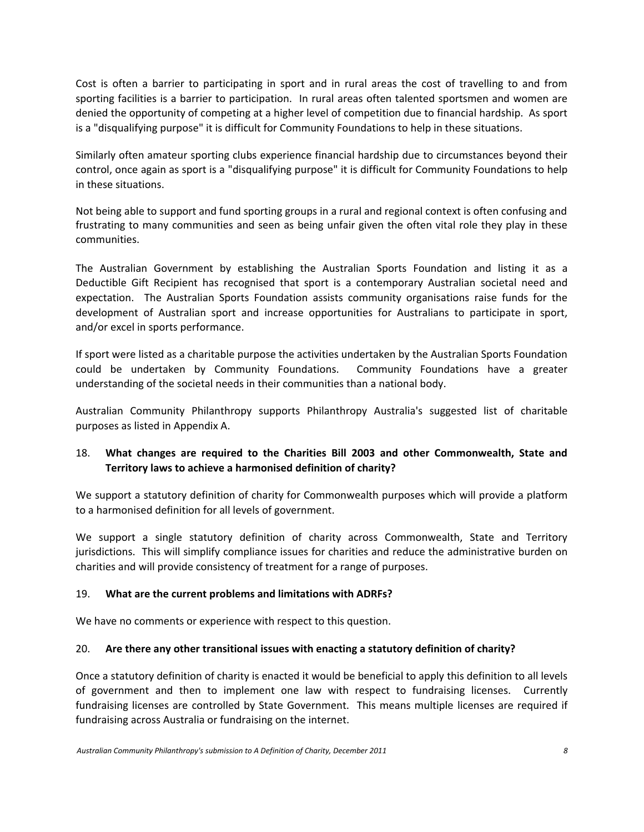Cost is often a barrier to participating in sport and in rural areas the cost of travelling to and from sporting facilities is a barrier to participation. In rural areas often talented sportsmen and women are denied the opportunity of competing at a higher level of competition due to financial hardship. As sport is a "disqualifying purpose" it is difficult for Community Foundations to help in these situations.

Similarly often amateur sporting clubs experience financial hardship due to circumstances beyond their control, once again as sport is a "disqualifying purpose" it is difficult for Community Foundations to help in these situations.

Not being able to support and fund sporting groups in a rural and regional context is often confusing and frustrating to many communities and seen as being unfair given the often vital role they play in these communities.

The Australian Government by establishing the Australian Sports Foundation and listing it as a Deductible Gift Recipient has recognised that sport is a contemporary Australian societal need and expectation. The Australian Sports Foundation assists community organisations raise funds for the development of Australian sport and increase opportunities for Australians to participate in sport, and/or excel in sports performance.

If sport were listed as a charitable purpose the activities undertaken by the Australian Sports Foundation could be undertaken by Community Foundations. Community Foundations have a greater understanding of the societal needs in their communities than a national body.

Australian Community Philanthropy supports Philanthropy Australia's suggested list of charitable purposes as listed in Appendix A.

## 18. **What changes are required to the Charities Bill 2003 and other Commonwealth, State and Territory laws to achieve a harmonised definition of charity?**

We support a statutory definition of charity for Commonwealth purposes which will provide a platform to a harmonised definition for all levels of government.

We support a single statutory definition of charity across Commonwealth, State and Territory jurisdictions. This will simplify compliance issues for charities and reduce the administrative burden on charities and will provide consistency of treatment for a range of purposes.

#### 19. **What are the current problems and limitations with ADRFs?**

We have no comments or experience with respect to this question.

#### 20. **Are there any other transitional issues with enacting a statutory definition of charity?**

Once a statutory definition of charity is enacted it would be beneficial to apply this definition to all levels of government and then to implement one law with respect to fundraising licenses. Currently fundraising licenses are controlled by State Government. This means multiple licenses are required if fundraising across Australia or fundraising on the internet.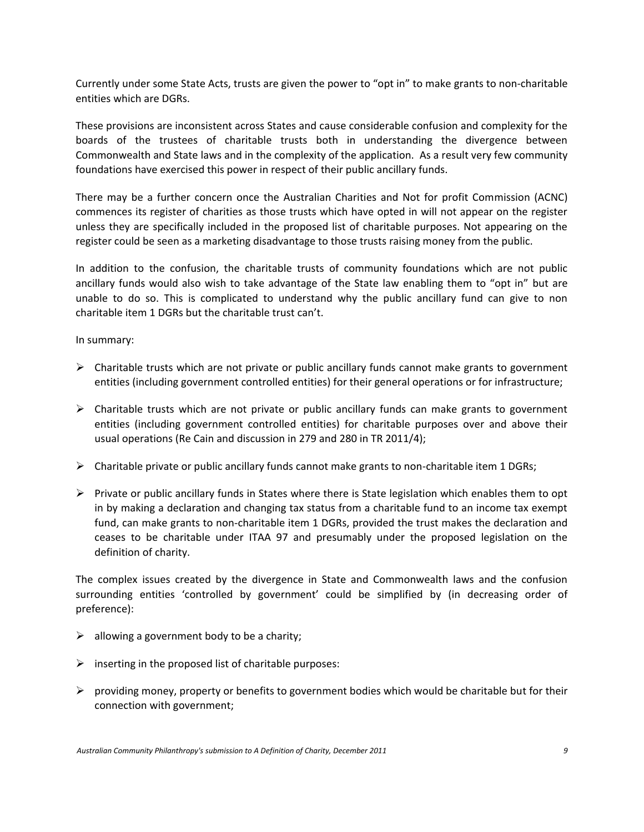Currently under some State Acts, trusts are given the power to "opt in" to make grants to non-charitable entities which are DGRs.

These provisions are inconsistent across States and cause considerable confusion and complexity for the boards of the trustees of charitable trusts both in understanding the divergence between Commonwealth and State laws and in the complexity of the application. As a result very few community foundations have exercised this power in respect of their public ancillary funds.

There may be a further concern once the Australian Charities and Not for profit Commission (ACNC) commences its register of charities as those trusts which have opted in will not appear on the register unless they are specifically included in the proposed list of charitable purposes. Not appearing on the register could be seen as a marketing disadvantage to those trusts raising money from the public.

In addition to the confusion, the charitable trusts of community foundations which are not public ancillary funds would also wish to take advantage of the State law enabling them to "opt in" but are unable to do so. This is complicated to understand why the public ancillary fund can give to non charitable item 1 DGRs but the charitable trust can't.

In summary:

- $\triangleright$  Charitable trusts which are not private or public ancillary funds cannot make grants to government entities (including government controlled entities) for their general operations or for infrastructure;
- $\triangleright$  Charitable trusts which are not private or public ancillary funds can make grants to government entities (including government controlled entities) for charitable purposes over and above their usual operations (Re Cain and discussion in 279 and 280 in TR 2011/4);
- $\triangleright$  Charitable private or public ancillary funds cannot make grants to non-charitable item 1 DGRs;
- $\triangleright$  Private or public ancillary funds in States where there is State legislation which enables them to opt in by making a declaration and changing tax status from a charitable fund to an income tax exempt fund, can make grants to non-charitable item 1 DGRs, provided the trust makes the declaration and ceases to be charitable under ITAA 97 and presumably under the proposed legislation on the definition of charity.

The complex issues created by the divergence in State and Commonwealth laws and the confusion surrounding entities 'controlled by government' could be simplified by (in decreasing order of preference):

- $\triangleright$  allowing a government body to be a charity;
- $\triangleright$  inserting in the proposed list of charitable purposes:
- $\triangleright$  providing money, property or benefits to government bodies which would be charitable but for their connection with government;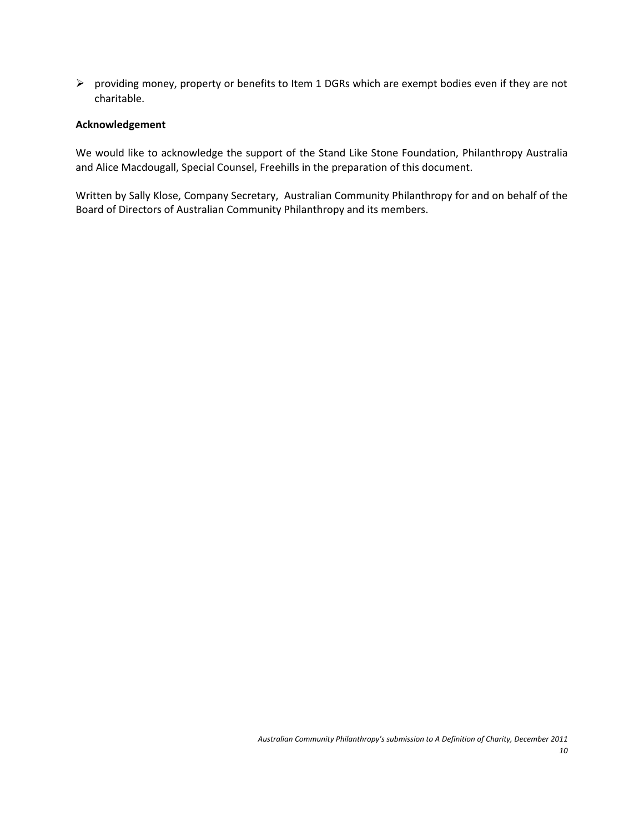$\triangleright$  providing money, property or benefits to Item 1 DGRs which are exempt bodies even if they are not charitable.

#### **Acknowledgement**

We would like to acknowledge the support of the Stand Like Stone Foundation, Philanthropy Australia and Alice Macdougall, Special Counsel, Freehills in the preparation of this document.

Written by Sally Klose, Company Secretary, Australian Community Philanthropy for and on behalf of the Board of Directors of Australian Community Philanthropy and its members.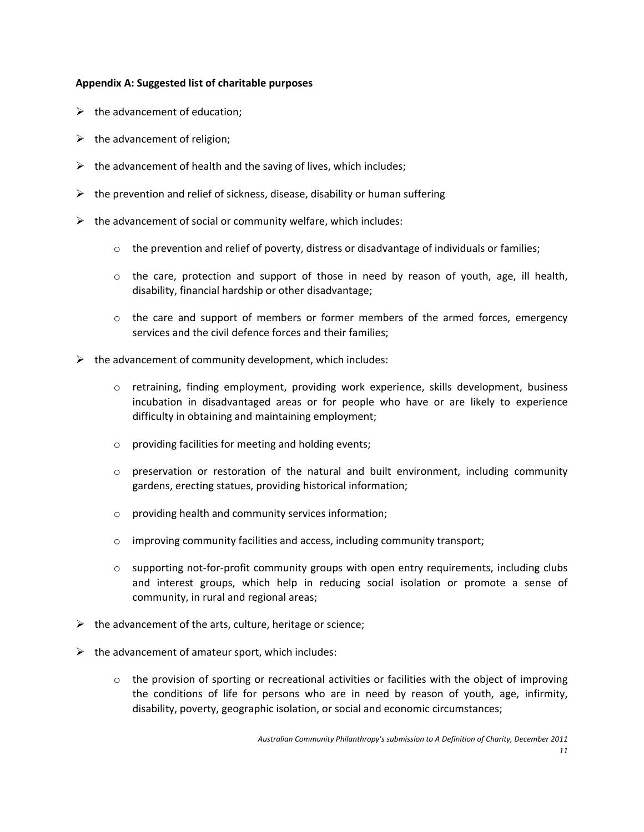#### **Appendix A: Suggested list of charitable purposes**

- $\triangleright$  the advancement of education;
- $\triangleright$  the advancement of religion;
- $\triangleright$  the advancement of health and the saving of lives, which includes;
- $\triangleright$  the prevention and relief of sickness, disease, disability or human suffering
- $\triangleright$  the advancement of social or community welfare, which includes:
	- $\circ$  the prevention and relief of poverty, distress or disadvantage of individuals or families;
	- $\circ$  the care, protection and support of those in need by reason of youth, age, ill health, disability, financial hardship or other disadvantage;
	- $\circ$  the care and support of members or former members of the armed forces, emergency services and the civil defence forces and their families;
- $\triangleright$  the advancement of community development, which includes:
	- o retraining, finding employment, providing work experience, skills development, business incubation in disadvantaged areas or for people who have or are likely to experience difficulty in obtaining and maintaining employment;
	- o providing facilities for meeting and holding events;
	- $\circ$  preservation or restoration of the natural and built environment, including community gardens, erecting statues, providing historical information;
	- o providing health and community services information;
	- o improving community facilities and access, including community transport;
	- $\circ$  supporting not-for-profit community groups with open entry requirements, including clubs and interest groups, which help in reducing social isolation or promote a sense of community, in rural and regional areas;
- $\triangleright$  the advancement of the arts, culture, heritage or science;
- $\triangleright$  the advancement of amateur sport, which includes:
	- $\circ$  the provision of sporting or recreational activities or facilities with the object of improving the conditions of life for persons who are in need by reason of youth, age, infirmity, disability, poverty, geographic isolation, or social and economic circumstances;